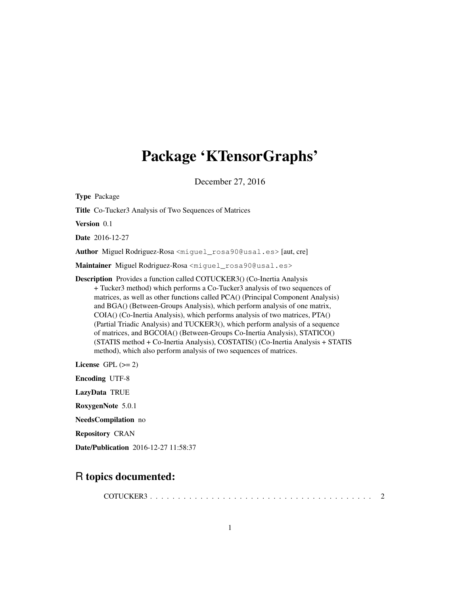# Package 'KTensorGraphs'

December 27, 2016

Type Package Title Co-Tucker3 Analysis of Two Sequences of Matrices Version 0.1 Date 2016-12-27 Author Miguel Rodriguez-Rosa <miguel\_rosa90@usal.es> [aut, cre] Maintainer Miguel Rodriguez-Rosa <miguel rosa90@usal.es> Description Provides a function called COTUCKER3() (Co-Inertia Analysis + Tucker3 method) which performs a Co-Tucker3 analysis of two sequences of matrices, as well as other functions called PCA() (Principal Component Analysis) and BGA() (Between-Groups Analysis), which perform analysis of one matrix, COIA() (Co-Inertia Analysis), which performs analysis of two matrices, PTA() (Partial Triadic Analysis) and TUCKER3(), which perform analysis of a sequence of matrices, and BGCOIA() (Between-Groups Co-Inertia Analysis), STATICO() (STATIS method + Co-Inertia Analysis), COSTATIS() (Co-Inertia Analysis + STATIS method), which also perform analysis of two sequences of matrices. License GPL  $(>= 2)$ Encoding UTF-8 LazyData TRUE RoxygenNote 5.0.1 NeedsCompilation no Repository CRAN

Date/Publication 2016-12-27 11:58:37

# R topics documented:

COTUCKER3 . . . . . . . . . . . . . . . . . . . . . . . . . . . . . . . . . . . . . . . . 2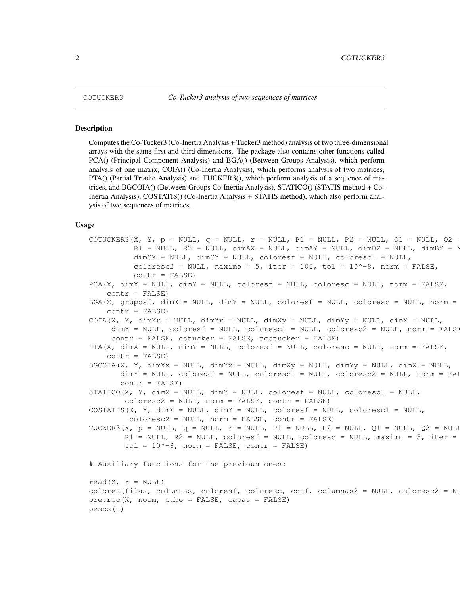#### Description

Computes the Co-Tucker3 (Co-Inertia Analysis + Tucker3 method) analysis of two three-dimensional arrays with the same first and third dimensions. The package also contains other functions called PCA() (Principal Component Analysis) and BGA() (Between-Groups Analysis), which perform analysis of one matrix, COIA() (Co-Inertia Analysis), which performs analysis of two matrices, PTA() (Partial Triadic Analysis) and TUCKER3(), which perform analysis of a sequence of matrices, and BGCOIA() (Between-Groups Co-Inertia Analysis), STATICO() (STATIS method + Co-Inertia Analysis), COSTATIS() (Co-Inertia Analysis + STATIS method), which also perform analysis of two sequences of matrices.

#### Usage

```
COTUCKER3(X, Y, p = NULL, q = NULL, r = NULL, P1 = NULL, P2 = NULL, Q1 = NULL, Q2 =
          R1 = NULL, R2 = NULL, dimAX = NULL, dimAY = NULL, dimBX = NULL, dimBY = N
          dimCX = NULL, dimCY = NULL, coloresf = NULL, coloresc1 = NULLcoloresc2 = NULL, maximo = 5, iter = 100, tol = 10^{\circ}-8, norm = FALSE,
          contr = FALSE)PCA(X, dimX = NULL, dimY = NULL, coloresf = NULL, coloresc = NULL, norm = FALSE,
    contr = FALSE)BGA(X, gruposf, dimX = NULL, dimY = NULL, coloresf = NULL, coloresc = NULL, norm =
    contr = FALSE)COLA(X, Y, dimXx = NULL, dimYx = NULL, dimXy = NULL, dimYy = NULL, dimYy = NULL,dimY = NULL, coloresf = NULL, coloresc1 = NULL, coloresc2 = NULL, norm = FALSE
     contr = FALSE, cotucker = FALSE, tcotucker = FALSE)
PTA(X, dimX = NULL, dimY = NULL, coloresf = NULL, coloresc = NULL, norm = FALSE,
    contr = FALSE)BGCOIA(X, Y, dimXx = NULL, dimYx = NULL, dimXy = NULL, dimYy = NULL, dimX = NULL,
       dimY = NULL, coloresf = NULL, coloresc1 = NULL, coloresc2 = NULL, norm = FAI
       contr = FALSE)STATICO(X, Y, dimX = NULL, dimY = NULL, coloresf = NULL, coloresc1 = NULL,
        coloresc2 = NULL, norm = FALSE, contr = FALSE)COSTATIS(X, Y, dimX = NULL, dimY = NULL, coloresf = NULL, coloresc1 = NULL,
         coloresc2 = NULL, norm = FALSE, contr = FALSE)TUCKER3(X, p = NULL, q = NULL, r = NULL, P1 = NULL, P2 = NULL, Q1 = NULL, Q2 = NULLR1 = NULL, R2 = NULL, coloresf = NULL, coloresc = NULL, maximo = 5, iter =
        tol = 10^{\wedge} - 8, norm = FALSE, contr = FALSE)
# Auxiliary functions for the previous ones:
read(X, Y = NULL)
colores(filas, columnas, coloresf, coloresc, conf, columnas2 = NULL, coloresc2 = NULL)
preproc(X, norm, cubo = FALSE, capas = FALSE)
pesos(t)
```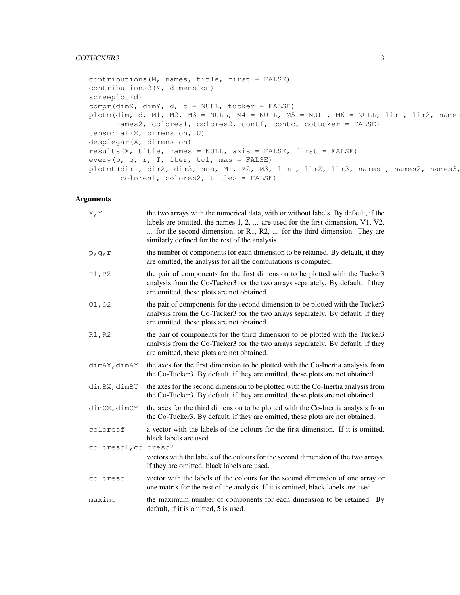### COTUCKER3 3

```
contributions(M, names, title, first = FALSE)
contributions2(M, dimension)
screeplot(d)
compr(dimX, dimY, d, c = NULL, tucker = FALSE)
plotm(dim, d, M1, M2, M3 = NULL, M4 = NULL, M5 = NULL, M6 = NULL, lim1, lim2, names
      names2, colores1, colores2, contf, contc, cotucker = FALSE)
tensorial(X, dimension, U)
desplegar(X, dimension)
results(X, title, names = NULL, axis = FALSE, first = FALSE)
every(p, q, r, T, iter, tol, mas = FALSE)
plotmt(dim1, dim2, dim3, sos, M1, M2, M3, lim1, lim2, lim3, names1, names2, names3,
       colores1, colores2, titles = FALSE)
```
## Arguments

| X, Y                 | the two arrays with the numerical data, with or without labels. By default, if the<br>labels are omitted, the names $1, 2, \ldots$ are used for the first dimension, V1, V2,<br>for the second dimension, or R1, R2,  for the third dimension. They are<br>similarly defined for the rest of the analysis. |
|----------------------|------------------------------------------------------------------------------------------------------------------------------------------------------------------------------------------------------------------------------------------------------------------------------------------------------------|
| p, q, r              | the number of components for each dimension to be retained. By default, if they<br>are omitted, the analysis for all the combinations is computed.                                                                                                                                                         |
| P1, P2               | the pair of components for the first dimension to be plotted with the Tucker3<br>analysis from the Co-Tucker3 for the two arrays separately. By default, if they<br>are omitted, these plots are not obtained.                                                                                             |
| Q1, Q2               | the pair of components for the second dimension to be plotted with the Tucker3<br>analysis from the Co-Tucker3 for the two arrays separately. By default, if they<br>are omitted, these plots are not obtained.                                                                                            |
| R1, R2               | the pair of components for the third dimension to be plotted with the Tucker3<br>analysis from the Co-Tucker3 for the two arrays separately. By default, if they<br>are omitted, these plots are not obtained.                                                                                             |
| dimAX, dimAY         | the axes for the first dimension to be plotted with the Co-Inertia analysis from<br>the Co-Tucker3. By default, if they are omitted, these plots are not obtained.                                                                                                                                         |
| dimBX, dimBY         | the axes for the second dimension to be plotted with the Co-Inertia analysis from<br>the Co-Tucker3. By default, if they are omitted, these plots are not obtained.                                                                                                                                        |
| dimCX, dimCY         | the axes for the third dimension to be plotted with the Co-Inertia analysis from<br>the Co-Tucker3. By default, if they are omitted, these plots are not obtained.                                                                                                                                         |
| coloresf             | a vector with the labels of the colours for the first dimension. If it is omitted,<br>black labels are used.                                                                                                                                                                                               |
| coloresc1, coloresc2 |                                                                                                                                                                                                                                                                                                            |
|                      | vectors with the labels of the colours for the second dimension of the two arrays.<br>If they are omitted, black labels are used.                                                                                                                                                                          |
| coloresc             | vector with the labels of the colours for the second dimension of one array or<br>one matrix for the rest of the analysis. If it is omitted, black labels are used.                                                                                                                                        |
| maximo               | the maximum number of components for each dimension to be retained. By<br>default, if it is omitted, 5 is used.                                                                                                                                                                                            |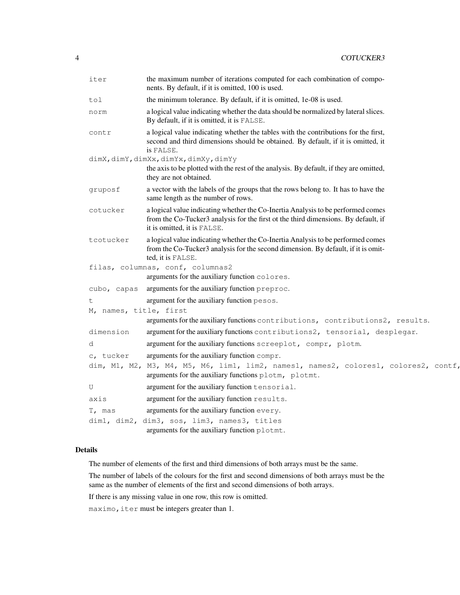| iter                   | the maximum number of iterations computed for each combination of compo-<br>nents. By default, if it is omitted, 100 is used.                                                                         |
|------------------------|-------------------------------------------------------------------------------------------------------------------------------------------------------------------------------------------------------|
| tol                    | the minimum tolerance. By default, if it is omitted, 1e-08 is used.                                                                                                                                   |
| norm                   | a logical value indicating whether the data should be normalized by lateral slices.<br>By default, if it is omitted, it is FALSE.                                                                     |
| contr                  | a logical value indicating whether the tables with the contributions for the first,<br>second and third dimensions should be obtained. By default, if it is omitted, it<br>is FALSE.                  |
|                        | dimX, dimY, dimXx, dimYx, dimXy, dimYy                                                                                                                                                                |
|                        | the axis to be plotted with the rest of the analysis. By default, if they are omitted,<br>they are not obtained.                                                                                      |
| gruposf                | a vector with the labels of the groups that the rows belong to. It has to have the<br>same length as the number of rows.                                                                              |
| cotucker               | a logical value indicating whether the Co-Inertia Analysis to be performed comes<br>from the Co-Tucker3 analysis for the first ot the third dimensions. By default, if<br>it is omitted, it is FALSE. |
| tcotucker              | a logical value indicating whether the Co-Inertia Analysis to be performed comes<br>from the Co-Tucker3 analysis for the second dimension. By default, if it is omit-<br>ted, it is FALSE.            |
|                        | filas, columnas, conf, columnas2                                                                                                                                                                      |
|                        | arguments for the auxiliary function colores.                                                                                                                                                         |
| cubo, capas            | arguments for the auxiliary function preproc.                                                                                                                                                         |
| t                      | argument for the auxiliary function pesos.                                                                                                                                                            |
| M, names, title, first |                                                                                                                                                                                                       |
|                        | arguments for the auxiliary functions contributions, contributions2, results.                                                                                                                         |
| dimension              | argument for the auxiliary functions contributions2, tensorial, desplegar.                                                                                                                            |
| d                      | argument for the auxiliary functions screeplot, compr, plotm.                                                                                                                                         |
| c, tucker              | arguments for the auxiliary function compr.                                                                                                                                                           |
|                        | dim, M1, M2, M3, M4, M5, M6, lim1, lim2, names1, names2, colores1, colores2, contf,<br>arguments for the auxiliary functions plotm, plotmt.                                                           |
| U                      | argument for the auxiliary function tensorial.                                                                                                                                                        |
| axis                   | argument for the auxiliary function results.                                                                                                                                                          |
| T, mas                 | arguments for the auxiliary function every.                                                                                                                                                           |
|                        | dim1, dim2, dim3, sos, lim3, names3, titles                                                                                                                                                           |
|                        | arguments for the auxiliary function plotmt.                                                                                                                                                          |

# Details

The number of elements of the first and third dimensions of both arrays must be the same.

The number of labels of the colours for the first and second dimensions of both arrays must be the same as the number of elements of the first and second dimensions of both arrays.

If there is any missing value in one row, this row is omitted.

maximo, iter must be integers greater than 1.